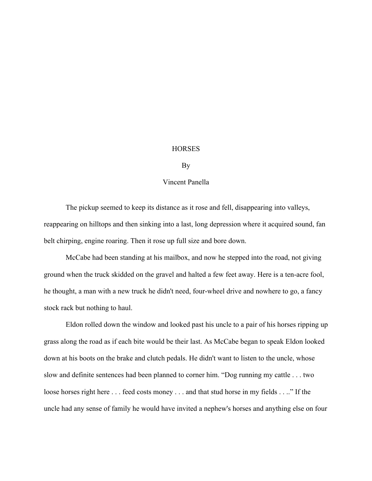## **HORSES**

## By

## Vincent Panella

The pickup seemed to keep its distance as it rose and fell, disappearing into valleys, reappearing on hilltops and then sinking into a last, long depression where it acquired sound, fan belt chirping, engine roaring. Then it rose up full size and bore down.

McCabe had been standing at his mailbox, and now he stepped into the road, not giving ground when the truck skidded on the gravel and halted a few feet away. Here is a ten-acre fool, he thought, a man with a new truck he didn't need, four-wheel drive and nowhere to go, a fancy stock rack but nothing to haul.

 Eldon rolled down the window and looked past his uncle to a pair of his horses ripping up grass along the road as if each bite would be their last. As McCabe began to speak Eldon looked down at his boots on the brake and clutch pedals. He didn't want to listen to the uncle, whose slow and definite sentences had been planned to corner him. "Dog running my cattle . . . two loose horses right here . . . feed costs money . . . and that stud horse in my fields . . .." If the uncle had any sense of family he would have invited a nephew's horses and anything else on four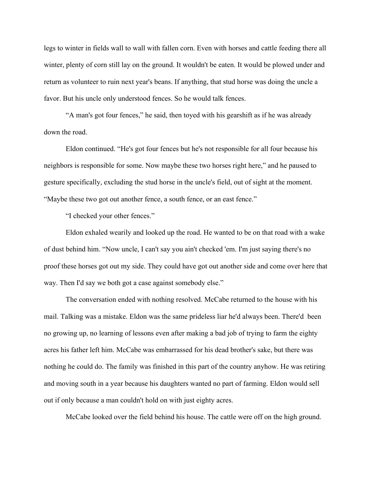legs to winter in fields wall to wall with fallen corn. Even with horses and cattle feeding there all winter, plenty of corn still lay on the ground. It wouldn't be eaten. It would be plowed under and return as volunteer to ruin next year's beans. If anything, that stud horse was doing the uncle a favor. But his uncle only understood fences. So he would talk fences.

"A man's got four fences," he said, then toyed with his gearshift as if he was already down the road.

Eldon continued. "He's got four fences but he's not responsible for all four because his neighbors is responsible for some. Now maybe these two horses right here," and he paused to gesture specifically, excluding the stud horse in the uncle's field, out of sight at the moment. "Maybe these two got out another fence, a south fence, or an east fence."

"I checked your other fences."

Eldon exhaled wearily and looked up the road. He wanted to be on that road with a wake of dust behind him. "Now uncle, I can't say you ain't checked 'em. I'm just saying there's no proof these horses got out my side. They could have got out another side and come over here that way. Then I'd say we both got a case against somebody else."

The conversation ended with nothing resolved. McCabe returned to the house with his mail. Talking was a mistake. Eldon was the same prideless liar he'd always been. There'd been no growing up, no learning of lessons even after making a bad job of trying to farm the eighty acres his father left him. McCabe was embarrassed for his dead brother's sake, but there was nothing he could do. The family was finished in this part of the country anyhow. He was retiring and moving south in a year because his daughters wanted no part of farming. Eldon would sell out if only because a man couldn't hold on with just eighty acres.

McCabe looked over the field behind his house. The cattle were off on the high ground.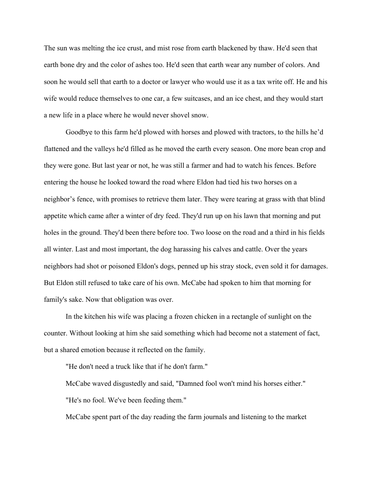The sun was melting the ice crust, and mist rose from earth blackened by thaw. He'd seen that earth bone dry and the color of ashes too. He'd seen that earth wear any number of colors. And soon he would sell that earth to a doctor or lawyer who would use it as a tax write off. He and his wife would reduce themselves to one car, a few suitcases, and an ice chest, and they would start a new life in a place where he would never shovel snow.

Goodbye to this farm he'd plowed with horses and plowed with tractors, to the hills he'd flattened and the valleys he'd filled as he moved the earth every season. One more bean crop and they were gone. But last year or not, he was still a farmer and had to watch his fences. Before entering the house he looked toward the road where Eldon had tied his two horses on a neighbor's fence, with promises to retrieve them later. They were tearing at grass with that blind appetite which came after a winter of dry feed. They'd run up on his lawn that morning and put holes in the ground. They'd been there before too. Two loose on the road and a third in his fields all winter. Last and most important, the dog harassing his calves and cattle. Over the years neighbors had shot or poisoned Eldon's dogs, penned up his stray stock, even sold it for damages. But Eldon still refused to take care of his own. McCabe had spoken to him that morning for family's sake. Now that obligation was over.

In the kitchen his wife was placing a frozen chicken in a rectangle of sunlight on the counter. Without looking at him she said something which had become not a statement of fact, but a shared emotion because it reflected on the family.

"He don't need a truck like that if he don't farm."

McCabe waved disgustedly and said, "Damned fool won't mind his horses either." "He's no fool. We've been feeding them."

McCabe spent part of the day reading the farm journals and listening to the market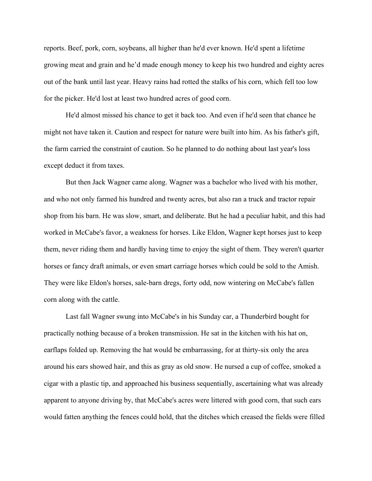reports. Beef, pork, corn, soybeans, all higher than he'd ever known. He'd spent a lifetime growing meat and grain and he'd made enough money to keep his two hundred and eighty acres out of the bank until last year. Heavy rains had rotted the stalks of his corn, which fell too low for the picker. He'd lost at least two hundred acres of good corn.

He'd almost missed his chance to get it back too. And even if he'd seen that chance he might not have taken it. Caution and respect for nature were built into him. As his father's gift, the farm carried the constraint of caution. So he planned to do nothing about last year's loss except deduct it from taxes.

But then Jack Wagner came along. Wagner was a bachelor who lived with his mother, and who not only farmed his hundred and twenty acres, but also ran a truck and tractor repair shop from his barn. He was slow, smart, and deliberate. But he had a peculiar habit, and this had worked in McCabe's favor, a weakness for horses. Like Eldon, Wagner kept horses just to keep them, never riding them and hardly having time to enjoy the sight of them. They weren't quarter horses or fancy draft animals, or even smart carriage horses which could be sold to the Amish. They were like Eldon's horses, sale-barn dregs, forty odd, now wintering on McCabe's fallen corn along with the cattle.

Last fall Wagner swung into McCabe's in his Sunday car, a Thunderbird bought for practically nothing because of a broken transmission. He sat in the kitchen with his hat on, earflaps folded up. Removing the hat would be embarrassing, for at thirty-six only the area around his ears showed hair, and this as gray as old snow. He nursed a cup of coffee, smoked a cigar with a plastic tip, and approached his business sequentially, ascertaining what was already apparent to anyone driving by, that McCabe's acres were littered with good corn, that such ears would fatten anything the fences could hold, that the ditches which creased the fields were filled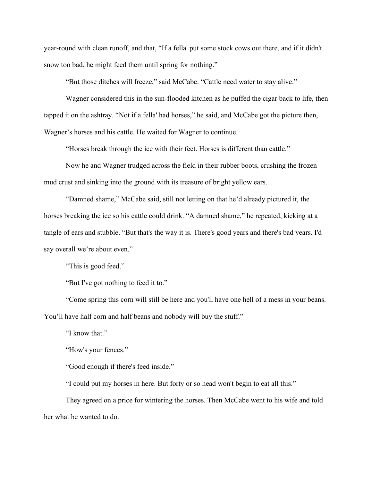year-round with clean runoff, and that, "If a fella' put some stock cows out there, and if it didn't snow too bad, he might feed them until spring for nothing."

"But those ditches will freeze," said McCabe. "Cattle need water to stay alive."

Wagner considered this in the sun-flooded kitchen as he puffed the cigar back to life, then tapped it on the ashtray. "Not if a fella' had horses," he said, and McCabe got the picture then, Wagner's horses and his cattle. He waited for Wagner to continue.

"Horses break through the ice with their feet. Horses is different than cattle."

Now he and Wagner trudged across the field in their rubber boots, crushing the frozen mud crust and sinking into the ground with its treasure of bright yellow ears.

"Damned shame," McCabe said, still not letting on that he'd already pictured it, the horses breaking the ice so his cattle could drink. "A damned shame," he repeated, kicking at a tangle of ears and stubble. "But that's the way it is. There's good years and there's bad years. I'd say overall we're about even."

"This is good feed."

"But I've got nothing to feed it to."

"Come spring this corn will still be here and you'll have one hell of a mess in your beans. You'll have half corn and half beans and nobody will buy the stuff."

"I know that."

"How's your fences."

"Good enough if there's feed inside."

"I could put my horses in here. But forty or so head won't begin to eat all this."

They agreed on a price for wintering the horses. Then McCabe went to his wife and told her what he wanted to do.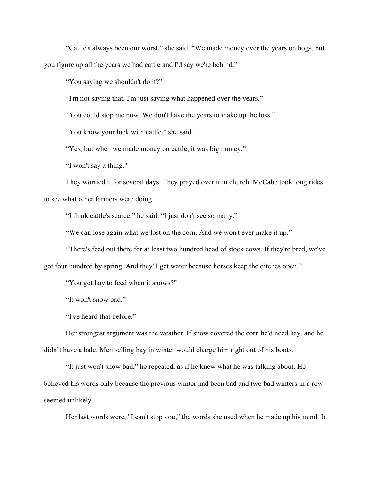"Cattle's always been our worst," she said. "We made money over the years on hogs, but you figure up all the years we had cattle and I'd say we're behind."

"You saying we shouldn't do it?"

"I'm not saying that. I'm just saying what happened over the years."

"You could stop me now. We don't have the years to make up the loss."

"You know your luck with cattle," she said.

"Yes, but when we made money on cattle, it was big money."

"I won't say a thing."

They worried it for several days. They prayed over it in church. McCabe took long rides to see what other farmers were doing.

"I think cattle's scarce," he said. "I just don't see so many."

"We can lose again what we lost on the corn. And we won't ever make it up."

"There's feed out there for at least two hundred head of stock cows. If they're bred, we've got four hundred by spring. And they'll get water because horses keep the ditches open."

"You got hay to feed when it snows?"

"It won't snow bad."

"I've heard that before."

Her strongest argument was the weather. If snow covered the corn he'd need hay, and he didn't have a bale. Men selling hay in winter would charge him right out of his boots.

"It just won't snow bad," he repeated, as if he knew what he was talking about. He believed his words only because the previous winter had been bad and two bad winters in a row seemed unlikely.

Her last words were, "I can't stop you," the words she used when he made up his mind. In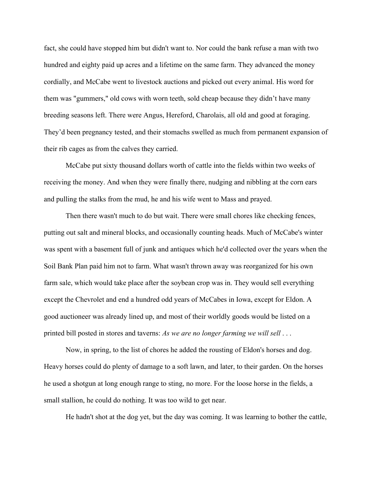fact, she could have stopped him but didn't want to. Nor could the bank refuse a man with two hundred and eighty paid up acres and a lifetime on the same farm. They advanced the money cordially, and McCabe went to livestock auctions and picked out every animal. His word for them was "gummers," old cows with worn teeth, sold cheap because they didn't have many breeding seasons left. There were Angus, Hereford, Charolais, all old and good at foraging. They'd been pregnancy tested, and their stomachs swelled as much from permanent expansion of their rib cages as from the calves they carried.

McCabe put sixty thousand dollars worth of cattle into the fields within two weeks of receiving the money. And when they were finally there, nudging and nibbling at the corn ears and pulling the stalks from the mud, he and his wife went to Mass and prayed.

Then there wasn't much to do but wait. There were small chores like checking fences, putting out salt and mineral blocks, and occasionally counting heads. Much of McCabe's winter was spent with a basement full of junk and antiques which he'd collected over the years when the Soil Bank Plan paid him not to farm. What wasn't thrown away was reorganized for his own farm sale, which would take place after the soybean crop was in. They would sell everything except the Chevrolet and end a hundred odd years of McCabes in Iowa, except for Eldon. A good auctioneer was already lined up, and most of their worldly goods would be listed on a printed bill posted in stores and taverns: *As we are no longer farming we will sell* . . .

Now, in spring, to the list of chores he added the rousting of Eldon's horses and dog. Heavy horses could do plenty of damage to a soft lawn, and later, to their garden. On the horses he used a shotgun at long enough range to sting, no more. For the loose horse in the fields, a small stallion, he could do nothing. It was too wild to get near.

He hadn't shot at the dog yet, but the day was coming. It was learning to bother the cattle,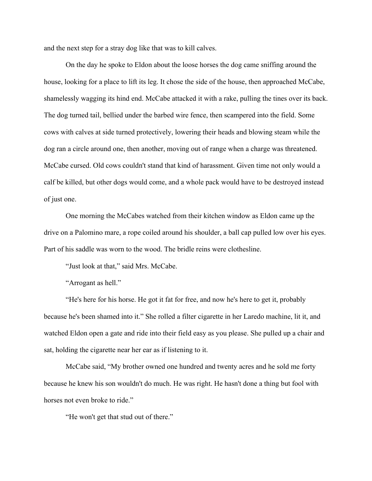and the next step for a stray dog like that was to kill calves.

On the day he spoke to Eldon about the loose horses the dog came sniffing around the house, looking for a place to lift its leg. It chose the side of the house, then approached McCabe, shamelessly wagging its hind end. McCabe attacked it with a rake, pulling the tines over its back. The dog turned tail, bellied under the barbed wire fence, then scampered into the field. Some cows with calves at side turned protectively, lowering their heads and blowing steam while the dog ran a circle around one, then another, moving out of range when a charge was threatened. McCabe cursed. Old cows couldn't stand that kind of harassment. Given time not only would a calf be killed, but other dogs would come, and a whole pack would have to be destroyed instead of just one.

One morning the McCabes watched from their kitchen window as Eldon came up the drive on a Palomino mare, a rope coiled around his shoulder, a ball cap pulled low over his eyes. Part of his saddle was worn to the wood. The bridle reins were clothesline.

"Just look at that," said Mrs. McCabe.

"Arrogant as hell."

"He's here for his horse. He got it fat for free, and now he's here to get it, probably because he's been shamed into it." She rolled a filter cigarette in her Laredo machine, lit it, and watched Eldon open a gate and ride into their field easy as you please. She pulled up a chair and sat, holding the cigarette near her ear as if listening to it.

McCabe said, "My brother owned one hundred and twenty acres and he sold me forty because he knew his son wouldn't do much. He was right. He hasn't done a thing but fool with horses not even broke to ride."

"He won't get that stud out of there."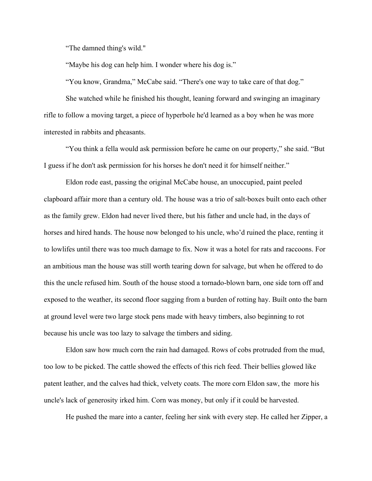"The damned thing's wild."

"Maybe his dog can help him. I wonder where his dog is."

"You know, Grandma," McCabe said. "There's one way to take care of that dog."

She watched while he finished his thought, leaning forward and swinging an imaginary rifle to follow a moving target, a piece of hyperbole he'd learned as a boy when he was more interested in rabbits and pheasants.

"You think a fella would ask permission before he came on our property," she said. "But I guess if he don't ask permission for his horses he don't need it for himself neither."

Eldon rode east, passing the original McCabe house, an unoccupied, paint peeled clapboard affair more than a century old. The house was a trio of salt-boxes built onto each other as the family grew. Eldon had never lived there, but his father and uncle had, in the days of horses and hired hands. The house now belonged to his uncle, who'd ruined the place, renting it to lowlifes until there was too much damage to fix. Now it was a hotel for rats and raccoons. For an ambitious man the house was still worth tearing down for salvage, but when he offered to do this the uncle refused him. South of the house stood a tornado-blown barn, one side torn off and exposed to the weather, its second floor sagging from a burden of rotting hay. Built onto the barn at ground level were two large stock pens made with heavy timbers, also beginning to rot because his uncle was too lazy to salvage the timbers and siding.

Eldon saw how much corn the rain had damaged. Rows of cobs protruded from the mud, too low to be picked. The cattle showed the effects of this rich feed. Their bellies glowed like patent leather, and the calves had thick, velvety coats. The more corn Eldon saw, the more his uncle's lack of generosity irked him. Corn was money, but only if it could be harvested.

He pushed the mare into a canter, feeling her sink with every step. He called her Zipper, a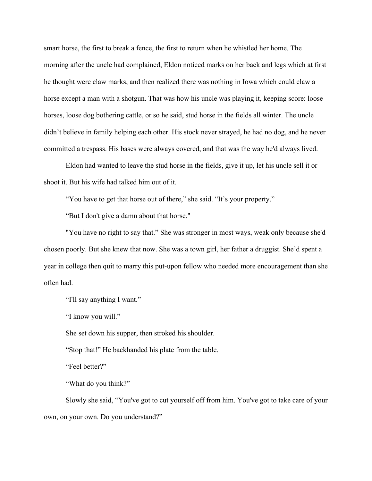smart horse, the first to break a fence, the first to return when he whistled her home. The morning after the uncle had complained, Eldon noticed marks on her back and legs which at first he thought were claw marks, and then realized there was nothing in Iowa which could claw a horse except a man with a shotgun. That was how his uncle was playing it, keeping score: loose horses, loose dog bothering cattle, or so he said, stud horse in the fields all winter. The uncle didn't believe in family helping each other. His stock never strayed, he had no dog, and he never committed a trespass. His bases were always covered, and that was the way he'd always lived.

Eldon had wanted to leave the stud horse in the fields, give it up, let his uncle sell it or shoot it. But his wife had talked him out of it.

"You have to get that horse out of there," she said. "It's your property."

"But I don't give a damn about that horse."

"You have no right to say that." She was stronger in most ways, weak only because she'd chosen poorly. But she knew that now. She was a town girl, her father a druggist. She'd spent a year in college then quit to marry this put-upon fellow who needed more encouragement than she often had.

"I'll say anything I want."

"I know you will."

She set down his supper, then stroked his shoulder.

"Stop that!" He backhanded his plate from the table.

"Feel better?"

"What do you think?"

Slowly she said, "You've got to cut yourself off from him. You've got to take care of your own, on your own. Do you understand?"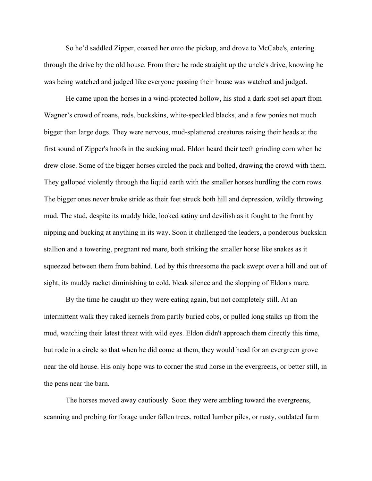So he'd saddled Zipper, coaxed her onto the pickup, and drove to McCabe's, entering through the drive by the old house. From there he rode straight up the uncle's drive, knowing he was being watched and judged like everyone passing their house was watched and judged.

He came upon the horses in a wind-protected hollow, his stud a dark spot set apart from Wagner's crowd of roans, reds, buckskins, white-speckled blacks, and a few ponies not much bigger than large dogs. They were nervous, mud-splattered creatures raising their heads at the first sound of Zipper's hoofs in the sucking mud. Eldon heard their teeth grinding corn when he drew close. Some of the bigger horses circled the pack and bolted, drawing the crowd with them. They galloped violently through the liquid earth with the smaller horses hurdling the corn rows. The bigger ones never broke stride as their feet struck both hill and depression, wildly throwing mud. The stud, despite its muddy hide, looked satiny and devilish as it fought to the front by nipping and bucking at anything in its way. Soon it challenged the leaders, a ponderous buckskin stallion and a towering, pregnant red mare, both striking the smaller horse like snakes as it squeezed between them from behind. Led by this threesome the pack swept over a hill and out of sight, its muddy racket diminishing to cold, bleak silence and the slopping of Eldon's mare.

By the time he caught up they were eating again, but not completely still. At an intermittent walk they raked kernels from partly buried cobs, or pulled long stalks up from the mud, watching their latest threat with wild eyes. Eldon didn't approach them directly this time, but rode in a circle so that when he did come at them, they would head for an evergreen grove near the old house. His only hope was to corner the stud horse in the evergreens, or better still, in the pens near the barn.

The horses moved away cautiously. Soon they were ambling toward the evergreens, scanning and probing for forage under fallen trees, rotted lumber piles, or rusty, outdated farm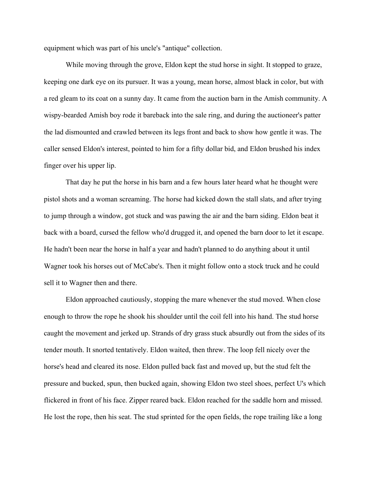equipment which was part of his uncle's "antique" collection.

While moving through the grove, Eldon kept the stud horse in sight. It stopped to graze, keeping one dark eye on its pursuer. It was a young, mean horse, almost black in color, but with a red gleam to its coat on a sunny day. It came from the auction barn in the Amish community. A wispy-bearded Amish boy rode it bareback into the sale ring, and during the auctioneer's patter the lad dismounted and crawled between its legs front and back to show how gentle it was. The caller sensed Eldon's interest, pointed to him for a fifty dollar bid, and Eldon brushed his index finger over his upper lip.

That day he put the horse in his barn and a few hours later heard what he thought were pistol shots and a woman screaming. The horse had kicked down the stall slats, and after trying to jump through a window, got stuck and was pawing the air and the barn siding. Eldon beat it back with a board, cursed the fellow who'd drugged it, and opened the barn door to let it escape. He hadn't been near the horse in half a year and hadn't planned to do anything about it until Wagner took his horses out of McCabe's. Then it might follow onto a stock truck and he could sell it to Wagner then and there.

Eldon approached cautiously, stopping the mare whenever the stud moved. When close enough to throw the rope he shook his shoulder until the coil fell into his hand. The stud horse caught the movement and jerked up. Strands of dry grass stuck absurdly out from the sides of its tender mouth. It snorted tentatively. Eldon waited, then threw. The loop fell nicely over the horse's head and cleared its nose. Eldon pulled back fast and moved up, but the stud felt the pressure and bucked, spun, then bucked again, showing Eldon two steel shoes, perfect U's which flickered in front of his face. Zipper reared back. Eldon reached for the saddle horn and missed. He lost the rope, then his seat. The stud sprinted for the open fields, the rope trailing like a long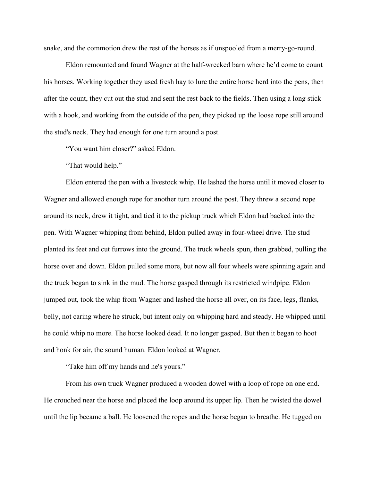snake, and the commotion drew the rest of the horses as if unspooled from a merry-go-round.

Eldon remounted and found Wagner at the half-wrecked barn where he'd come to count his horses. Working together they used fresh hay to lure the entire horse herd into the pens, then after the count, they cut out the stud and sent the rest back to the fields. Then using a long stick with a hook, and working from the outside of the pen, they picked up the loose rope still around the stud's neck. They had enough for one turn around a post.

"You want him closer?" asked Eldon.

"That would help."

Eldon entered the pen with a livestock whip. He lashed the horse until it moved closer to Wagner and allowed enough rope for another turn around the post. They threw a second rope around its neck, drew it tight, and tied it to the pickup truck which Eldon had backed into the pen. With Wagner whipping from behind, Eldon pulled away in four-wheel drive. The stud planted its feet and cut furrows into the ground. The truck wheels spun, then grabbed, pulling the horse over and down. Eldon pulled some more, but now all four wheels were spinning again and the truck began to sink in the mud. The horse gasped through its restricted windpipe. Eldon jumped out, took the whip from Wagner and lashed the horse all over, on its face, legs, flanks, belly, not caring where he struck, but intent only on whipping hard and steady. He whipped until he could whip no more. The horse looked dead. It no longer gasped. But then it began to hoot and honk for air, the sound human. Eldon looked at Wagner.

"Take him off my hands and he's yours."

From his own truck Wagner produced a wooden dowel with a loop of rope on one end. He crouched near the horse and placed the loop around its upper lip. Then he twisted the dowel until the lip became a ball. He loosened the ropes and the horse began to breathe. He tugged on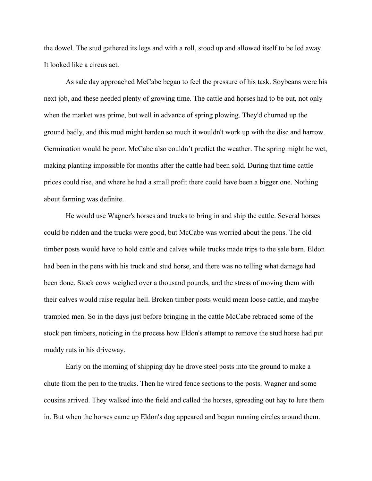the dowel. The stud gathered its legs and with a roll, stood up and allowed itself to be led away. It looked like a circus act.

As sale day approached McCabe began to feel the pressure of his task. Soybeans were his next job, and these needed plenty of growing time. The cattle and horses had to be out, not only when the market was prime, but well in advance of spring plowing. They'd churned up the ground badly, and this mud might harden so much it wouldn't work up with the disc and harrow. Germination would be poor. McCabe also couldn't predict the weather. The spring might be wet, making planting impossible for months after the cattle had been sold. During that time cattle prices could rise, and where he had a small profit there could have been a bigger one. Nothing about farming was definite.

He would use Wagner's horses and trucks to bring in and ship the cattle. Several horses could be ridden and the trucks were good, but McCabe was worried about the pens. The old timber posts would have to hold cattle and calves while trucks made trips to the sale barn. Eldon had been in the pens with his truck and stud horse, and there was no telling what damage had been done. Stock cows weighed over a thousand pounds, and the stress of moving them with their calves would raise regular hell. Broken timber posts would mean loose cattle, and maybe trampled men. So in the days just before bringing in the cattle McCabe rebraced some of the stock pen timbers, noticing in the process how Eldon's attempt to remove the stud horse had put muddy ruts in his driveway.

Early on the morning of shipping day he drove steel posts into the ground to make a chute from the pen to the trucks. Then he wired fence sections to the posts. Wagner and some cousins arrived. They walked into the field and called the horses, spreading out hay to lure them in. But when the horses came up Eldon's dog appeared and began running circles around them.